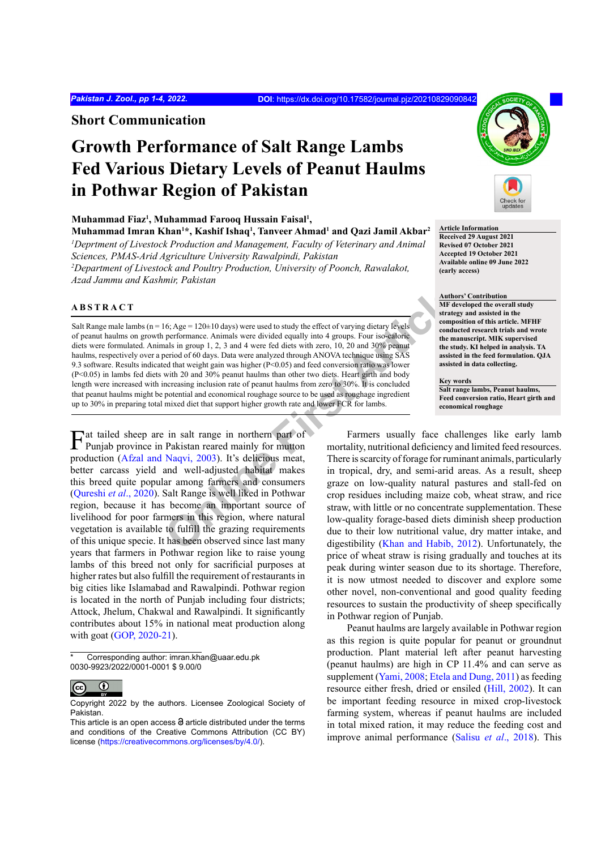**Short Communication**

# **Growth Performance of Salt Range Lambs Fed Various Dietary Levels of Peanut Haulms in Pothwar Region of Pakistan**

**Muhammad Fiaz1 , Muhammad Farooq Hussain Faisal1 , Muhammad Imran Khan1 \*, Kashif Ishaq1 , Tanveer Ahmad1 and Qazi Jamil Akbar2** <sup>*I*</sup> Deprtment of Livestock Production and Management, Faculty of Veterinary and Animal

*Sciences, PMAS-Arid Agriculture University Rawalpindi, Pakistan 2 Department of Livestock and Poultry Production, University of Poonch, Rawalakot, Azad Jammu and Kashmir, Pakistan*

## **ABSTRACT**

16: Age = 120±10 days) were used to study the effect of varying dietary levels<br>
performance. Animals were divided equally into 4 groups. Four iso-ealorie<br>
and sin group 1, 2, 3 and 4 were fed diets with zero, 10, 20 and 30 Salt Range male lambs ( $n = 16$ ; Age = 120 $\pm$ 10 days) were used to study the effect of varying dietary levels of peanut haulms on growth performance. Animals were divided equally into 4 groups. Four iso-caloric diets were formulated. Animals in group 1, 2, 3 and 4 were fed diets with zero, 10, 20 and 30% peanut haulms, respectively over a period of 60 days. Data were analyzed through ANOVA technique using SAS 9.3 software. Results indicated that weight gain was higher (P<0.05) and feed conversion ratio was lower (P<0.05) in lambs fed diets with 20 and 30% peanut haulms than other two diets. Heart girth and body length were increased with increasing inclusion rate of peanut haulms from zero to 30%. It is concluded that peanut haulms might be potential and economical roughage source to be used as roughage ingredient up to 30% in preparing total mixed diet that support higher growth rate and lower FCR for lambs.

Fat tailed sheep are in salt range in northern part of Punjab province in Pakistan reared mainly for mutton production [\(Afzal and Naqvi, 2003\)](#page-2-0). It's delicious meat, better carcass yield and well-adjusted habitat makes this breed quite popular among farmers and consumers [\(Qureshi](#page-3-0) *et al*., 2020). Salt Range is well liked in Pothwar region, because it has become an important source of livelihood for poor farmers in this region, where natural vegetation is available to fulfill the grazing requirements of this unique specie. It has been observed since last many years that farmers in Pothwar region like to raise young lambs of this breed not only for sacrificial purposes at higher rates but also fulfill the requirement of restaurants in big cities like Islamabad and Rawalpindi. Pothwar region is located in the north of Punjab including four districts; Attock, Jhelum, Chakwal and Rawalpindi. It significantly contributes about 15% in national meat production along with goat [\(GOP, 2020-21](#page-3-1)).

\* Corresponding author: imran.khan@uaar.edu.pk 0030-9923/2022/0001-0001 \$ 9.00/0



**Article Information Received 29 August 2021 Revised 07 October 2021 Accepted 19 October 2021 Available online 09 June 2022 (early access)**

**Authors' Contribution**

**MF developed the overall study strategy and assisted in the composition of this article. MFHF conducted research trials and wrote the manuscript. MIK supervised the study. KI helped in analysis. TA assisted in the feed formulation. QJA assisted in data collecting.**

**Key words**

**Salt range lambs, Peanut haulms, Feed conversion ratio, Heart girth and economical roughage**

Farmers usually face challenges like early lamb mortality, nutritional deficiency and limited feed resources. There is scarcity of forage for ruminant animals, particularly in tropical, dry, and semi-arid areas. As a result, sheep graze on low-quality natural pastures and stall-fed on crop residues including maize cob, wheat straw, and rice straw, with little or no concentrate supplementation. These low-quality forage-based diets diminish sheep production due to their low nutritional value, dry matter intake, and digestibility (Khan and Habib, 2012). Unfortunately, the price of wheat straw is rising gradually and touches at its peak during winter season due to its shortage. Therefore, it is now utmost needed to discover and explore some other novel, non-conventional and good quality feeding resources to sustain the productivity of sheep specifically in Pothwar region of Punjab.

Peanut haulms are largely available in Pothwar region as this region is quite popular for peanut or groundnut production. Plant material left after peanut harvesting (peanut haulms) are high in CP 11.4% and can serve as supplement [\(Yami, 2008;](#page-3-3) [Etela and Dung, 2011\)](#page-2-1) as feeding resource either fresh, dried or ensiled ([Hill, 2002](#page-3-4)). It can be important feeding resource in mixed crop-livestock farming system, whereas if peanut haulms are included in total mixed ration, it may reduce the feeding cost and improve animal performance (Salisu *et al*[., 2018\)](#page-3-5). This

 $\overline{cc}$  $\bf \odot$ 

Copyright 2022 by the authors. Licensee Zoological Society of Pakistan.

This article is an open access  $\Theta$  article distributed under the terms and conditions of the Creative Commons Attribution (CC BY) license (https://creativecommons.org/licenses/by/4.0/).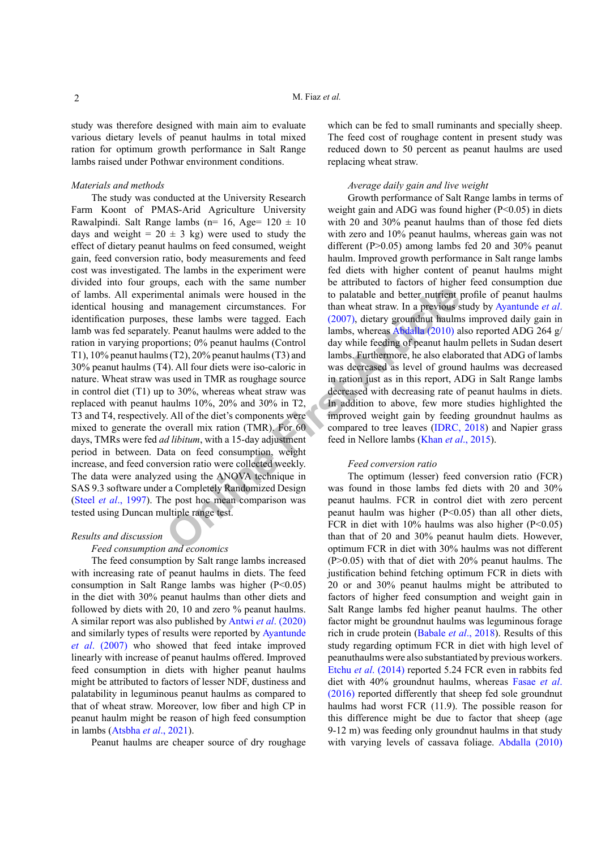study was therefore designed with main aim to evaluate various dietary levels of peanut haulms in total mixed ration for optimum growth performance in Salt Range lambs raised under Pothwar environment conditions.

## *Materials and methods*

**Example 10** to matrice the state of the state of the posted in the to palatable and better nutrient in<br>management circumstances. For than wheat straw. In a previous s, these lambs were tagged. Each (2007), dictary ground The study was conducted at the University Research Farm Koont of PMAS-Arid Agriculture University Rawalpindi. Salt Range lambs (n= 16, Age=  $120 \pm 10$ days and weight =  $20 \pm 3$  kg) were used to study the effect of dietary peanut haulms on feed consumed, weight gain, feed conversion ratio, body measurements and feed cost was investigated. The lambs in the experiment were divided into four groups, each with the same number of lambs. All experimental animals were housed in the identical housing and management circumstances. For identification purposes, these lambs were tagged. Each lamb was fed separately. Peanut haulms were added to the ration in varying proportions; 0% peanut haulms (Control T1), 10% peanut haulms (T2), 20% peanut haulms (T3) and 30% peanut haulms (T4). All four diets were iso-caloric in nature. Wheat straw was used in TMR as roughage source in control diet (T1) up to 30%, whereas wheat straw was replaced with peanut haulms 10%, 20% and 30% in T2, T3 and T4, respectively. All of the diet's components were mixed to generate the overall mix ration (TMR). For 60 days, TMRs were fed *ad libitum*, with a 15-day adjustment period in between. Data on feed consumption, weight increase, and feed conversion ratio were collected weekly. The data were analyzed using the ANOVA technique in SAS 9.3 software under a Completely Randomized Design (Steel *et al*[., 1997](#page-3-6)). The post hoc mean comparison was tested using Duncan multiple range test.

# *Results and discussion*

#### *Feed consumption and economics*

The feed consumption by Salt range lambs increased with increasing rate of peanut haulms in diets. The feed consumption in Salt Range lambs was higher  $(P<0.05)$ in the diet with 30% peanut haulms than other diets and followed by diets with 20, 10 and zero % peanut haulms. A similar report was also published by Antwi *et al*[. \(2020\)](#page-2-2) and similarly types of results were reported by [Ayantunde](#page-2-3) *et al*[. \(2007\)](#page-2-3) who showed that feed intake improved linearly with increase of peanut haulms offered. Improved feed consumption in diets with higher peanut haulms might be attributed to factors of lesser NDF, dustiness and palatability in leguminous peanut haulms as compared to that of wheat straw. Moreover, low fiber and high CP in peanut haulm might be reason of high feed consumption in lambs ([Atsbha](#page-2-4) *et al*., 2021).

Peanut haulms are cheaper source of dry roughage

which can be fed to small ruminants and specially sheep. The feed cost of roughage content in present study was reduced down to 50 percent as peanut haulms are used replacing wheat straw.

## *Average daily gain and live weight*

Growth performance of Salt Range lambs in terms of weight gain and ADG was found higher (P<0.05) in diets with 20 and 30% peanut haulms than of those fed diets with zero and 10% peanut haulms, whereas gain was not different (P>0.05) among lambs fed 20 and 30% peanut haulm. Improved growth performance in Salt range lambs fed diets with higher content of peanut haulms might be attributed to factors of higher feed consumption due to palatable and better nutrient profile of peanut haulms than wheat straw. In a previous study by [Ayantunde](#page-2-3) *et al*. (2007), dietary groundnut haulms improved daily gain in lambs, whereas Abdalla (2010) also reported ADG 264 g/ day while feeding of peanut haulm pellets in Sudan desert lambs. Furthermore, he also elaborated that ADG of lambs was decreased as level of ground haulms was decreased in ration just as in this report, ADG in Salt Range lambs decreased with decreasing rate of peanut haulms in diets. In addition to above, few more studies highlighted the improved weight gain by feeding groundnut haulms as compared to tree leaves [\(IDRC, 2018](#page-3-7)) and Napier grass feed in Nellore lambs (Khan *et al*., 2015).

## *Feed conversion ratio*

The optimum (lesser) feed conversion ratio (FCR) was found in those lambs fed diets with 20 and 30% peanut haulms. FCR in control diet with zero percent peanut haulm was higher (P<0.05) than all other diets, FCR in diet with 10% haulms was also higher (P<0.05) than that of 20 and 30% peanut haulm diets. However, optimum FCR in diet with 30% haulms was not different (P>0.05) with that of diet with 20% peanut haulms. The justification behind fetching optimum FCR in diets with 20 or and 30% peanut haulms might be attributed to factors of higher feed consumption and weight gain in Salt Range lambs fed higher peanut haulms. The other factor might be groundnut haulms was leguminous forage rich in crude protein ([Babale](#page-2-6) *et al*., 2018). Results of this study regarding optimum FCR in diet with high level of peanuthaulms were also substantiated by previous workers. Etchu *et al*[. \(2014\)](#page-2-7) reported 5.24 FCR even in rabbits fed diet with 40% groundnut haulms, whereas [Fasae](#page-3-9) *et al*. [\(2016\)](#page-3-9) reported differently that sheep fed sole groundnut haulms had worst FCR (11.9). The possible reason for this difference might be due to factor that sheep (age 9-12 m) was feeding only groundnut haulms in that study with varying levels of cassava foliage. [Abdalla \(2010\)](#page-2-5)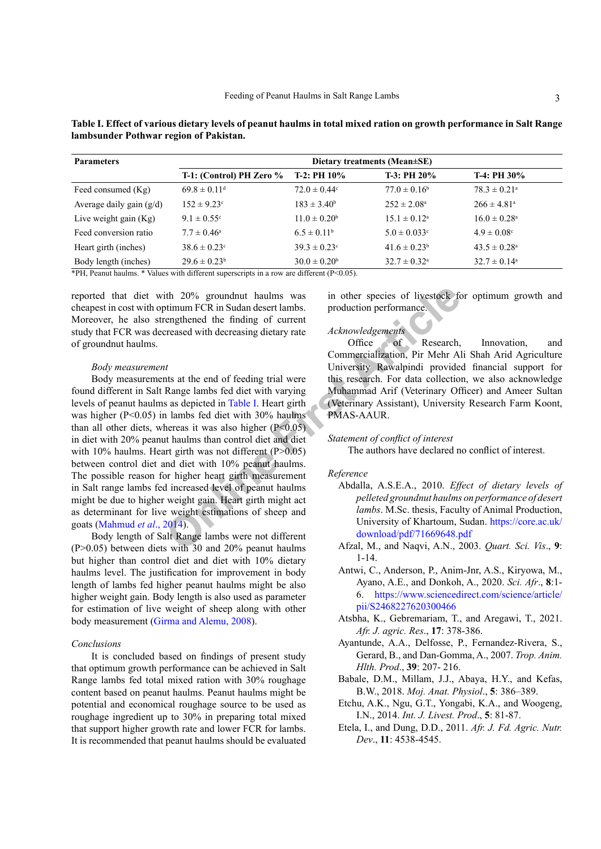| <b>Parameters</b>          | Dietary treatments (Mean±SE) |                              |                            |                              |
|----------------------------|------------------------------|------------------------------|----------------------------|------------------------------|
|                            | T-1: (Control) PH Zero $\%$  | $T-2: PH10\%$                | $T-3: PH20\%$              | $T-4: PH30\%$                |
| Feed consumed (Kg)         | $69.8 \pm 0.11$ <sup>d</sup> | $72.0 \pm 0.44$ <sup>c</sup> | $77.0 \pm 0.16^b$          | $78.3 \pm 0.21$ <sup>a</sup> |
| Average daily gain $(g/d)$ | $152 \pm 9.23^{\circ}$       | $183 \pm 3.40^b$             | $252 \pm 2.08^{\circ}$     | $266 \pm 4.81$ <sup>a</sup>  |
| Live weight gain $(Kg)$    | $9.1 \pm 0.55$ °             | $11.0 \pm 0.20^b$            | $15.1 \pm 0.12^a$          | $16.0 \pm 0.28$ <sup>a</sup> |
| Feed conversion ratio      | $7.7 \pm 0.46^{\circ}$       | $6.5 \pm 0.11^b$             | $5.0 \pm 0.033$ °          | $4.9 \pm 0.08$ °             |
| Heart girth (inches)       | $38.6 \pm 0.23$ °            | $39.3 \pm 0.23$ <sup>c</sup> | $41.6 \pm 0.23^b$          | $43.5 \pm 0.28$ <sup>a</sup> |
| Body length (inches)       | $29.6 \pm 0.23^b$            | $30.0 \pm 0.20^{\rm b}$      | $32.7 \pm 0.32^{\text{a}}$ | $32.7 \pm 0.14^{\circ}$      |

<span id="page-2-8"></span>**Table I. Effect of various dietary levels of peanut haulms in total mixed ration on growth performance in Salt Range lambsunder Pothwar region of Pakistan.**

\*PH, Peanut haulms. \* Values with different superscripts in a row are different (P<0.05).

reported that diet with 20% groundnut haulms was cheapest in cost with optimum FCR in Sudan desert lambs. Moreover, he also strengthened the finding of current study that FCR was decreased with decreasing dietary rate of groundnut haulms.

#### *Body measurement*

ith 20% groundnut haulms was<br>
in other species of livestock for<br>
tengthened the finding of current<br>
reased with decreasing dietary rate<br>
office<br>
from mercialization, Pir Mehr Al<br>
University Rawalpindi provide<br>
that at the Body measurements at the end of feeding trial were found different in Salt Range lambs fed diet with varying levels of peanut haulms as depicted in Table I. Heart girth was higher (P<0.05) in lambs fed diet with 30% haulms than all other diets, whereas it was also higher  $(P<0.05)$ in diet with 20% peanut haulms than control diet and diet with 10% haulms. Heart girth was not different (P>0.05) between control diet and diet with 10% peanut haulms. The possible reason for higher heart girth measurement in Salt range lambs fed increased level of peanut haulms might be due to higher weight gain. Heart girth might act as determinant for live weight estimations of sheep and goats ([Mahmud](#page-3-10) *et al*., 2014).

Body length of Salt Range lambs were not different (P>0.05) between diets with 30 and 20% peanut haulms but higher than control diet and diet with 10% dietary haulms level. The justification for improvement in body length of lambs fed higher peanut haulms might be also higher weight gain. Body length is also used as parameter for estimation of live weight of sheep along with other body measurement [\(Girma and Alemu, 2008](#page-3-11)).

## *Conclusions*

It is concluded based on findings of present study that optimum growth performance can be achieved in Salt Range lambs fed total mixed ration with 30% roughage content based on peanut haulms. Peanut haulms might be potential and economical roughage source to be used as roughage ingredient up to 30% in preparing total mixed that support higher growth rate and lower FCR for lambs. It is recommended that peanut haulms should be evaluated in other species of livestock for optimum growth and production performance.

## *Acknowledgements*

Office of Research, Innovation, and Commercialization, Pir Mehr Ali Shah Arid Agriculture University Rawalpindi provided financial support for this research. For data collection, we also acknowledge Muhammad Arif (Veterinary Officer) and Ameer Sultan (Veterinary Assistant), University Research Farm Koont, PMAS-AAUR.

## *Statement of conflict of interest*

The authors have declared no conflict of interest.

## *Reference*

- <span id="page-2-5"></span>Abdalla, A.S.E.A., 2010. *Effect of dietary levels of pelleted groundnut haulms on performance of desert lambs*. M.Sc. thesis, Faculty of Animal Production, University of Khartoum, Sudan. [https://core.ac.uk/](https://core.ac.uk/download/pdf/71669648.pdf) download/pdf/71669648.pdf
- <span id="page-2-0"></span>Afzal, M[.,](https://www.google.com/url?sa=tandrct=jandq=andesrc=sandsource=webandcd=andved=2ahUKEwjp7o-L49PyAhWh3OAKHc6UAT4QFnoECAMQAQandurl=http%3A%2F%2Fwww.sciencevision.org.pk%2FBackIssues%2FVol9%2F22.livestock.dfandusg=AOvVaw04nZ1dnMzIWHPpuHjAyVsQ ) and Naqvi, A.N., 2003. *Quart. Sci. Vis*., **9**: 1-14.
- <span id="page-2-2"></span>Antwi, C., Anderson, P., Anim-Jnr, A.S., Kiryowa, M., Ayano, A.E., and Donkoh, A., 2020. *Sci. Afr*., **8**:1- 6. [https://www.sciencedirect.com/science/article/](https://www.sciencedirect.com/science/article/pii/S2468227620300466) [pii/S2468227620300466](https://www.sciencedirect.com/science/article/pii/S2468227620300466)
- <span id="page-2-4"></span>Atsbha, K., Gebremariam, T., and Aregawi, T., 2021. *Afr. J. agric. Res*., **17**: 378-386.
- <span id="page-2-3"></span>Ayantunde, A.A., Delfosse, P., Fernandez-Rivera, S., Gerard, B., and Dan-Gomma, A., 2007. *Trop. Anim. Hlth. Prod*., **39**: 207- 216.
- <span id="page-2-6"></span>Babale, D.M., Millam, J.J., Abaya, H.Y., and Kefas, B.W., 2018. *Moj. Anat. Physiol*., **5**: 386‒389.
- <span id="page-2-7"></span>Etchu, A.K., Ngu, G.T., Yongabi, K.A., and Woogeng, I.N., 2014. *Int. J. Livest. Prod*., **5**: 81-87.
- <span id="page-2-1"></span>Etela, I., and Dung, D.D., 2011. *Afr. J. Fd. Agric. Nutr. Dev*., **11**: 4538-4545.